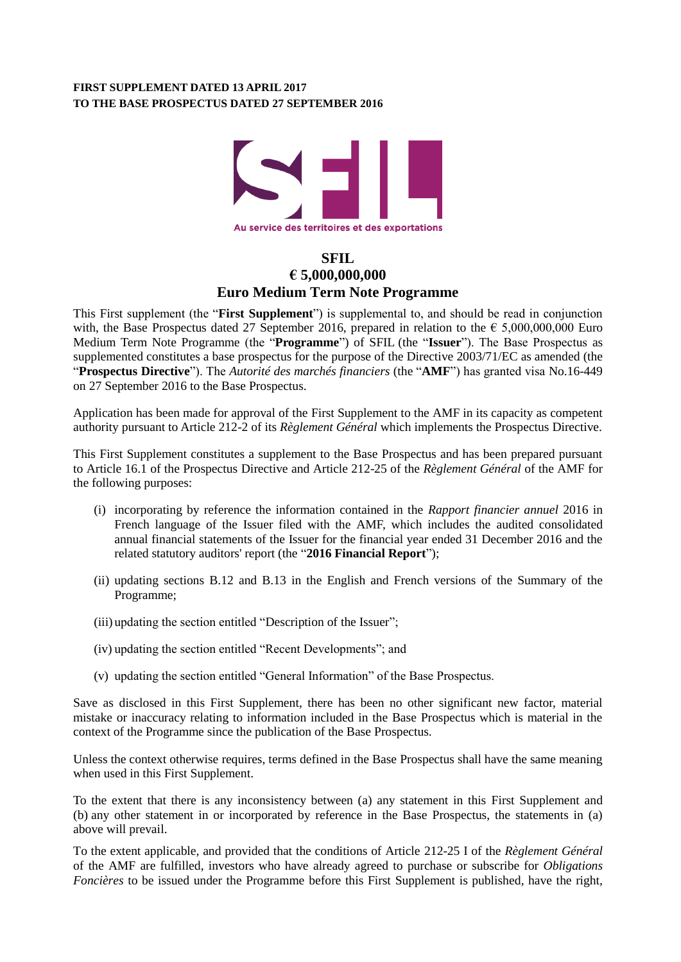## **FIRST SUPPLEMENT DATED 13 APRIL 2017 TO THE BASE PROSPECTUS DATED 27 SEPTEMBER 2016**



# **SFIL € 5,000,000,000 Euro Medium Term Note Programme**

This First supplement (the "**First Supplement**") is supplemental to, and should be read in conjunction with, the Base Prospectus dated 27 September 2016, prepared in relation to the  $\epsilon$  5,000,000,000 Euro Medium Term Note Programme (the "**Programme**") of SFIL (the "**Issuer**"). The Base Prospectus as supplemented constitutes a base prospectus for the purpose of the Directive 2003/71/EC as amended (the "**Prospectus Directive**"). The *Autorité des marchés financiers* (the "**AMF**") has granted visa No.16-449 on 27 September 2016 to the Base Prospectus.

Application has been made for approval of the First Supplement to the AMF in its capacity as competent authority pursuant to Article 212-2 of its *Règlement Général* which implements the Prospectus Directive.

This First Supplement constitutes a supplement to the Base Prospectus and has been prepared pursuant to Article 16.1 of the Prospectus Directive and Article 212-25 of the *Règlement Général* of the AMF for the following purposes:

- (i) incorporating by reference the information contained in the *Rapport financier annuel* 2016 in French language of the Issuer filed with the AMF, which includes the audited consolidated annual financial statements of the Issuer for the financial year ended 31 December 2016 and the related statutory auditors' report (the "**2016 Financial Report**");
- (ii) updating sections B.12 and B.13 in the English and French versions of the Summary of the Programme;
- (iii) updating the section entitled "Description of the Issuer";
- (iv) updating the section entitled "Recent Developments"; and
- (v) updating the section entitled "General Information" of the Base Prospectus.

Save as disclosed in this First Supplement, there has been no other significant new factor, material mistake or inaccuracy relating to information included in the Base Prospectus which is material in the context of the Programme since the publication of the Base Prospectus.

Unless the context otherwise requires, terms defined in the Base Prospectus shall have the same meaning when used in this First Supplement.

To the extent that there is any inconsistency between (a) any statement in this First Supplement and (b) any other statement in or incorporated by reference in the Base Prospectus, the statements in (a) above will prevail.

To the extent applicable, and provided that the conditions of Article 212-25 I of the *Règlement Général* of the AMF are fulfilled, investors who have already agreed to purchase or subscribe for *Obligations Foncières* to be issued under the Programme before this First Supplement is published, have the right,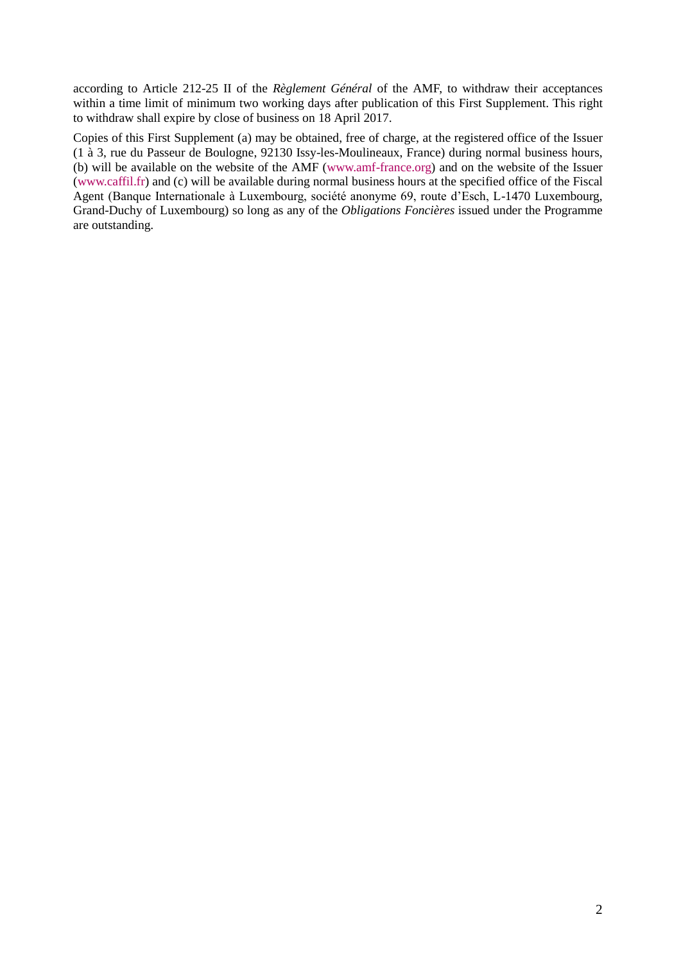according to Article 212-25 II of the *Règlement Général* of the AMF, to withdraw their acceptances within a time limit of minimum two working days after publication of this First Supplement. This right to withdraw shall expire by close of business on 18 April 2017.

Copies of this First Supplement (a) may be obtained, free of charge, at the registered office of the Issuer (1 à 3, rue du Passeur de Boulogne, 92130 Issy-les-Moulineaux, France) during normal business hours, (b) will be available on the website of the AMF [\(www.amf-france.org\)](http://www.amf-france.org/) and on the website of the Issuer (www.caffil.fr) and (c) will be available during normal business hours at the specified office of the Fiscal Agent (Banque Internationale à Luxembourg, société anonyme 69, route d'Esch, L-1470 Luxembourg, Grand-Duchy of Luxembourg) so long as any of the *Obligations Foncières* issued under the Programme are outstanding.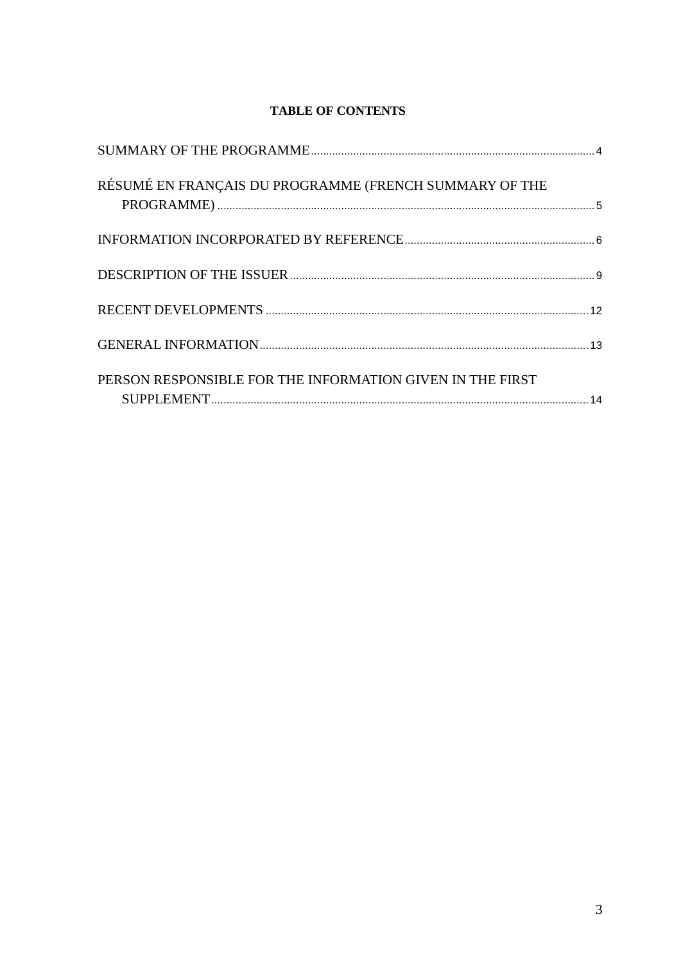# **TABLE OF CONTENTS**

| RÉSUMÉ EN FRANÇAIS DU PROGRAMME (FRENCH SUMMARY OF THE    |  |
|-----------------------------------------------------------|--|
|                                                           |  |
|                                                           |  |
|                                                           |  |
|                                                           |  |
| PERSON RESPONSIBLE FOR THE INFORMATION GIVEN IN THE FIRST |  |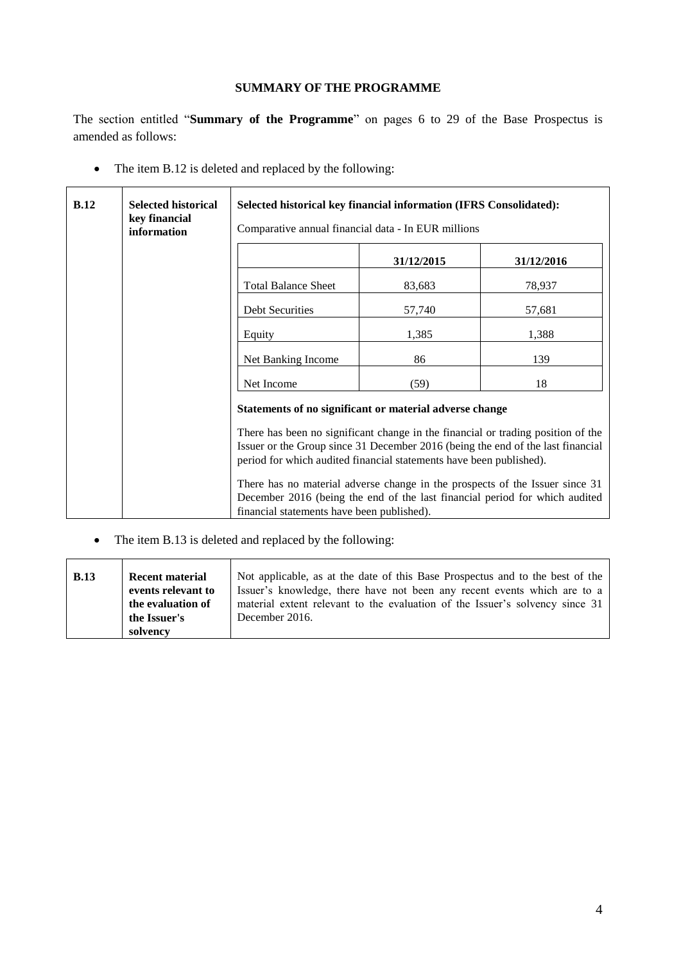## **SUMMARY OF THE PROGRAMME**

<span id="page-3-0"></span>The section entitled "**Summary of the Programme**" on pages 6 to 29 of the Base Prospectus is amended as follows:

• The item B.12 is deleted and replaced by the following:

| B.12 | <b>Selected historical</b><br>key financial<br>information | Selected historical key financial information (IFRS Consolidated):<br>Comparative annual financial data - In EUR millions                                                                                                                  |            |            |  |
|------|------------------------------------------------------------|--------------------------------------------------------------------------------------------------------------------------------------------------------------------------------------------------------------------------------------------|------------|------------|--|
|      |                                                            |                                                                                                                                                                                                                                            | 31/12/2015 | 31/12/2016 |  |
|      |                                                            | <b>Total Balance Sheet</b>                                                                                                                                                                                                                 | 83,683     | 78,937     |  |
|      |                                                            | <b>Debt Securities</b>                                                                                                                                                                                                                     | 57,740     | 57,681     |  |
|      |                                                            | Equity                                                                                                                                                                                                                                     | 1,385      | 1,388      |  |
|      |                                                            | Net Banking Income                                                                                                                                                                                                                         | 86         | 139        |  |
|      |                                                            | Net Income                                                                                                                                                                                                                                 | (59)       | 18         |  |
|      |                                                            | Statements of no significant or material adverse change                                                                                                                                                                                    |            |            |  |
|      |                                                            | There has been no significant change in the financial or trading position of the<br>Issuer or the Group since 31 December 2016 (being the end of the last financial<br>period for which audited financial statements have been published). |            |            |  |
|      |                                                            | There has no material adverse change in the prospects of the Issuer since 31<br>December 2016 (being the end of the last financial period for which audited<br>financial statements have been published).                                  |            |            |  |

• The item B.13 is deleted and replaced by the following:

| <b>B.13</b> | <b>Recent material</b> | Not applicable, as at the date of this Base Prospectus and to the best of the |
|-------------|------------------------|-------------------------------------------------------------------------------|
|             | events relevant to     | Issuer's knowledge, there have not been any recent events which are to a      |
|             | the evaluation of      | material extent relevant to the evaluation of the Issuer's solvency since 31  |
|             | the Issuer's           | December 2016.                                                                |
|             | solvency               |                                                                               |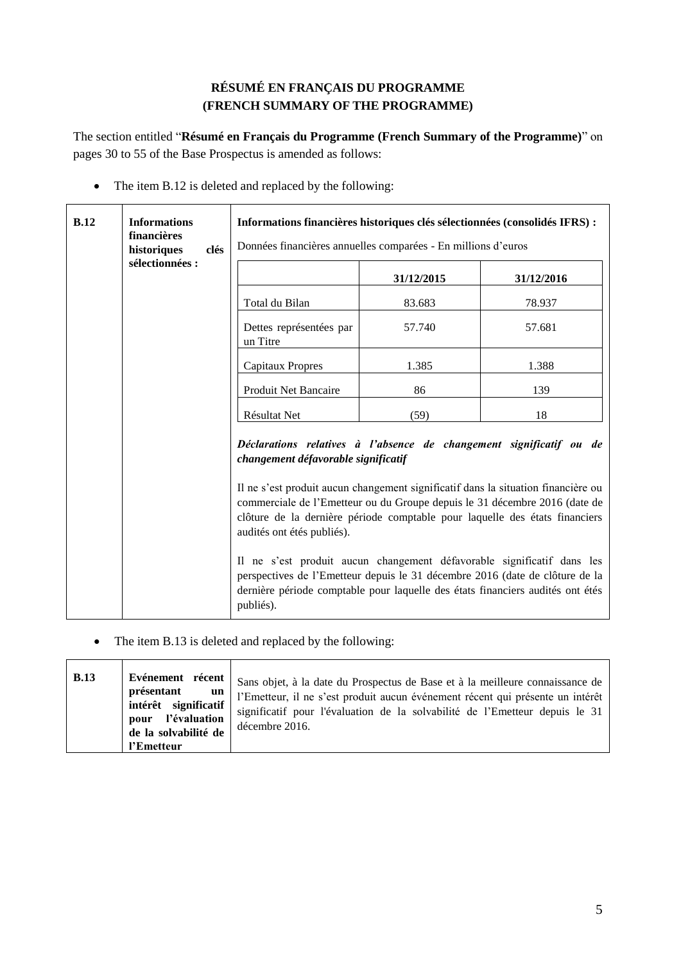# **RÉSUMÉ EN FRANÇAIS DU PROGRAMME (FRENCH SUMMARY OF THE PROGRAMME)**

<span id="page-4-0"></span>The section entitled "**Résumé en Français du Programme (French Summary of the Programme)**" on pages 30 to 55 of the Base Prospectus is amended as follows:

• The item B.12 is deleted and replaced by the following:

| B.12 | <b>Informations</b><br>financières<br>historiques<br>clés<br>sélectionnées : | Informations financières historiques clés sélectionnées (consolidés IFRS) :<br>Données financières annuelles comparées - En millions d'euros                                                                                                                                                                                                                                                                                                                                                                                                                                                                                                        |            |            |  |
|------|------------------------------------------------------------------------------|-----------------------------------------------------------------------------------------------------------------------------------------------------------------------------------------------------------------------------------------------------------------------------------------------------------------------------------------------------------------------------------------------------------------------------------------------------------------------------------------------------------------------------------------------------------------------------------------------------------------------------------------------------|------------|------------|--|
|      |                                                                              |                                                                                                                                                                                                                                                                                                                                                                                                                                                                                                                                                                                                                                                     | 31/12/2015 | 31/12/2016 |  |
|      |                                                                              | Total du Bilan                                                                                                                                                                                                                                                                                                                                                                                                                                                                                                                                                                                                                                      | 83.683     | 78.937     |  |
|      |                                                                              | Dettes représentées par<br>un Titre                                                                                                                                                                                                                                                                                                                                                                                                                                                                                                                                                                                                                 | 57.740     | 57.681     |  |
|      |                                                                              | <b>Capitaux Propres</b>                                                                                                                                                                                                                                                                                                                                                                                                                                                                                                                                                                                                                             | 1.385      | 1.388      |  |
|      |                                                                              | Produit Net Bancaire                                                                                                                                                                                                                                                                                                                                                                                                                                                                                                                                                                                                                                | 86         | 139        |  |
|      |                                                                              | Résultat Net                                                                                                                                                                                                                                                                                                                                                                                                                                                                                                                                                                                                                                        | (59)       | 18         |  |
|      |                                                                              | Déclarations relatives à l'absence de changement significatif ou de<br>changement défavorable significatif<br>Il ne s'est produit aucun changement significatif dans la situation financière ou<br>commerciale de l'Emetteur ou du Groupe depuis le 31 décembre 2016 (date de<br>clôture de la dernière période comptable pour laquelle des états financiers<br>audités ont étés publiés).<br>Il ne s'est produit aucun changement défavorable significatif dans les<br>perspectives de l'Emetteur depuis le 31 décembre 2016 (date de clôture de la<br>dernière période comptable pour laquelle des états financiers audités ont étés<br>publiés). |            |            |  |

• The item B.13 is deleted and replaced by the following:

| <b>B.13</b> | Evénement récent<br>présentant<br>un<br>intérêt significatif<br>l'évaluation<br>pour<br>de la solvabilité de<br>l'Emetteur | Sans objet, à la date du Prospectus de Base et à la meilleure connaissance de<br>l'Emetteur, il ne s'est produit aucun événement récent qui présente un intérêt<br>significatif pour l'évaluation de la solvabilité de l'Emetteur depuis le 31<br>décembre 2016. |
|-------------|----------------------------------------------------------------------------------------------------------------------------|------------------------------------------------------------------------------------------------------------------------------------------------------------------------------------------------------------------------------------------------------------------|
|-------------|----------------------------------------------------------------------------------------------------------------------------|------------------------------------------------------------------------------------------------------------------------------------------------------------------------------------------------------------------------------------------------------------------|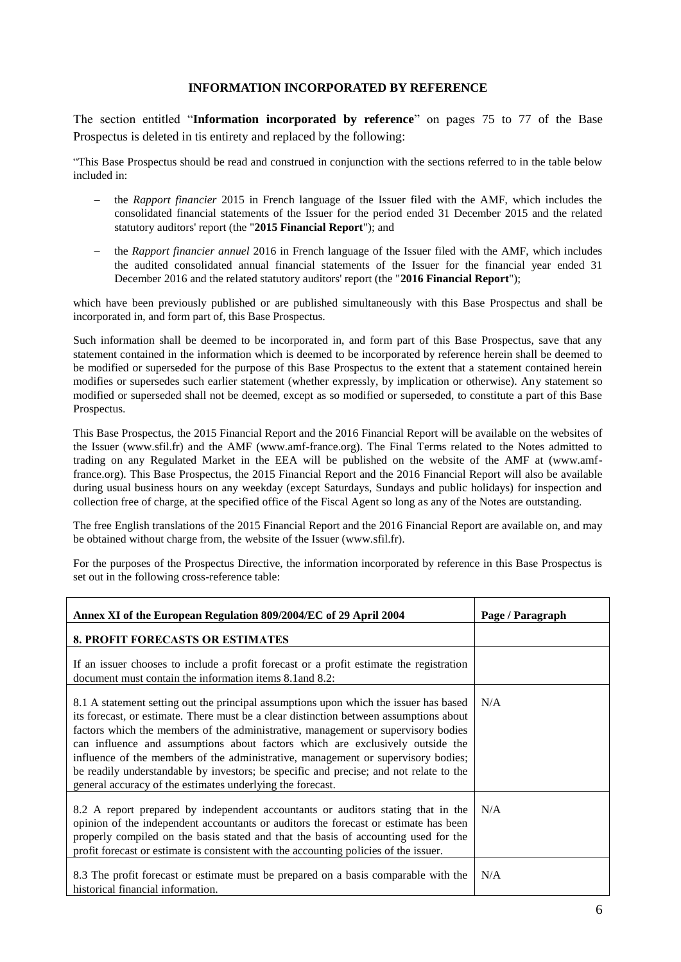#### **INFORMATION INCORPORATED BY REFERENCE**

<span id="page-5-0"></span>The section entitled "**Information incorporated by reference**" on pages 75 to 77 of the Base Prospectus is deleted in tis entirety and replaced by the following:

"This Base Prospectus should be read and construed in conjunction with the sections referred to in the table below included in:

- the *Rapport financier* 2015 in French language of the Issuer filed with the AMF, which includes the consolidated financial statements of the Issuer for the period ended 31 December 2015 and the related statutory auditors' report (the "**2015 Financial Report**"); and
- the *Rapport financier annuel* 2016 in French language of the Issuer filed with the AMF, which includes the audited consolidated annual financial statements of the Issuer for the financial year ended 31 December 2016 and the related statutory auditors' report (the "**2016 Financial Report**");

which have been previously published or are published simultaneously with this Base Prospectus and shall be incorporated in, and form part of, this Base Prospectus.

Such information shall be deemed to be incorporated in, and form part of this Base Prospectus, save that any statement contained in the information which is deemed to be incorporated by reference herein shall be deemed to be modified or superseded for the purpose of this Base Prospectus to the extent that a statement contained herein modifies or supersedes such earlier statement (whether expressly, by implication or otherwise). Any statement so modified or superseded shall not be deemed, except as so modified or superseded, to constitute a part of this Base Prospectus.

This Base Prospectus, the 2015 Financial Report and the 2016 Financial Report will be available on the websites of the Issuer (www.sfil.fr) and the AMF (www.amf-france.org). The Final Terms related to the Notes admitted to trading on any Regulated Market in the EEA will be published on the website of the AMF at (www.amffrance.org). This Base Prospectus, the 2015 Financial Report and the 2016 Financial Report will also be available during usual business hours on any weekday (except Saturdays, Sundays and public holidays) for inspection and collection free of charge, at the specified office of the Fiscal Agent so long as any of the Notes are outstanding.

The free English translations of the 2015 Financial Report and the 2016 Financial Report are available on, and may be obtained without charge from, the website of the Issuer (www.sfil.fr).

For the purposes of the Prospectus Directive, the information incorporated by reference in this Base Prospectus is set out in the following cross-reference table:

| Annex XI of the European Regulation 809/2004/EC of 29 April 2004                                                                                                                                                                                                                                                                                                                                                                                                                                                                                                                                   | Page / Paragraph |
|----------------------------------------------------------------------------------------------------------------------------------------------------------------------------------------------------------------------------------------------------------------------------------------------------------------------------------------------------------------------------------------------------------------------------------------------------------------------------------------------------------------------------------------------------------------------------------------------------|------------------|
| <b>8. PROFIT FORECASTS OR ESTIMATES</b>                                                                                                                                                                                                                                                                                                                                                                                                                                                                                                                                                            |                  |
| If an issuer chooses to include a profit forecast or a profit estimate the registration<br>document must contain the information items 8.1 and 8.2:                                                                                                                                                                                                                                                                                                                                                                                                                                                |                  |
| 8.1 A statement setting out the principal assumptions upon which the issuer has based<br>its forecast, or estimate. There must be a clear distinction between assumptions about<br>factors which the members of the administrative, management or supervisory bodies<br>can influence and assumptions about factors which are exclusively outside the<br>influence of the members of the administrative, management or supervisory bodies;<br>be readily understandable by investors; be specific and precise; and not relate to the<br>general accuracy of the estimates underlying the forecast. | N/A              |
| 8.2 A report prepared by independent accountants or auditors stating that in the<br>opinion of the independent accountants or auditors the forecast or estimate has been<br>properly compiled on the basis stated and that the basis of accounting used for the<br>profit forecast or estimate is consistent with the accounting policies of the issuer.                                                                                                                                                                                                                                           | N/A              |
| 8.3 The profit forecast or estimate must be prepared on a basis comparable with the<br>historical financial information.                                                                                                                                                                                                                                                                                                                                                                                                                                                                           | N/A              |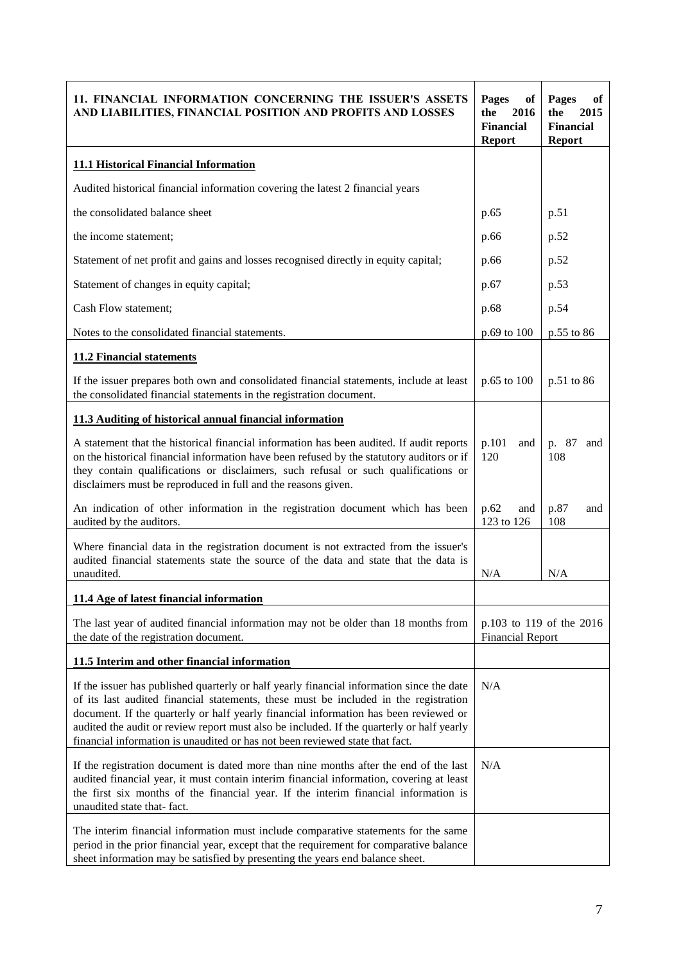| 11. FINANCIAL INFORMATION CONCERNING THE ISSUER'S ASSETS<br>AND LIABILITIES, FINANCIAL POSITION AND PROFITS AND LOSSES                                                                                                                                                                                                                                                                                                                                 | Pages<br>of<br>2016<br>the<br><b>Financial</b><br><b>Report</b> | Pages<br>оf<br>the<br>2015<br><b>Financial</b><br><b>Report</b> |
|--------------------------------------------------------------------------------------------------------------------------------------------------------------------------------------------------------------------------------------------------------------------------------------------------------------------------------------------------------------------------------------------------------------------------------------------------------|-----------------------------------------------------------------|-----------------------------------------------------------------|
| <b>11.1 Historical Financial Information</b>                                                                                                                                                                                                                                                                                                                                                                                                           |                                                                 |                                                                 |
| Audited historical financial information covering the latest 2 financial years                                                                                                                                                                                                                                                                                                                                                                         |                                                                 |                                                                 |
| the consolidated balance sheet                                                                                                                                                                                                                                                                                                                                                                                                                         | p.65                                                            | p.51                                                            |
| the income statement;                                                                                                                                                                                                                                                                                                                                                                                                                                  | p.66                                                            | p.52                                                            |
| Statement of net profit and gains and losses recognised directly in equity capital;                                                                                                                                                                                                                                                                                                                                                                    | p.66                                                            | p.52                                                            |
| Statement of changes in equity capital;                                                                                                                                                                                                                                                                                                                                                                                                                | p.67                                                            | p.53                                                            |
| Cash Flow statement;                                                                                                                                                                                                                                                                                                                                                                                                                                   | p.68                                                            | p.54                                                            |
| Notes to the consolidated financial statements.                                                                                                                                                                                                                                                                                                                                                                                                        | p.69 to 100                                                     | p.55 to 86                                                      |
| <b>11.2 Financial statements</b>                                                                                                                                                                                                                                                                                                                                                                                                                       |                                                                 |                                                                 |
| If the issuer prepares both own and consolidated financial statements, include at least<br>the consolidated financial statements in the registration document.                                                                                                                                                                                                                                                                                         | p.65 to 100                                                     | p.51 to 86                                                      |
| 11.3 Auditing of historical annual financial information                                                                                                                                                                                                                                                                                                                                                                                               |                                                                 |                                                                 |
| A statement that the historical financial information has been audited. If audit reports<br>on the historical financial information have been refused by the statutory auditors or if<br>they contain qualifications or disclaimers, such refusal or such qualifications or<br>disclaimers must be reproduced in full and the reasons given.                                                                                                           | p.101<br>and<br>120                                             | p. 87<br>and<br>108                                             |
| An indication of other information in the registration document which has been<br>audited by the auditors.                                                                                                                                                                                                                                                                                                                                             | p.62<br>and<br>123 to 126                                       | p.87<br>and<br>108                                              |
| Where financial data in the registration document is not extracted from the issuer's<br>audited financial statements state the source of the data and state that the data is<br>unaudited.                                                                                                                                                                                                                                                             | N/A                                                             | N/A                                                             |
| <u>11.4 Age of latest financial information</u>                                                                                                                                                                                                                                                                                                                                                                                                        |                                                                 |                                                                 |
| The last year of audited financial information may not be older than 18 months from<br>the date of the registration document.                                                                                                                                                                                                                                                                                                                          | p.103 to 119 of the 2016<br><b>Financial Report</b>             |                                                                 |
| 11.5 Interim and other financial information                                                                                                                                                                                                                                                                                                                                                                                                           |                                                                 |                                                                 |
| If the issuer has published quarterly or half yearly financial information since the date<br>of its last audited financial statements, these must be included in the registration<br>document. If the quarterly or half yearly financial information has been reviewed or<br>audited the audit or review report must also be included. If the quarterly or half yearly<br>financial information is unaudited or has not been reviewed state that fact. | N/A                                                             |                                                                 |
| If the registration document is dated more than nine months after the end of the last<br>audited financial year, it must contain interim financial information, covering at least<br>the first six months of the financial year. If the interim financial information is<br>unaudited state that-fact.                                                                                                                                                 | N/A                                                             |                                                                 |
| The interim financial information must include comparative statements for the same<br>period in the prior financial year, except that the requirement for comparative balance<br>sheet information may be satisfied by presenting the years end balance sheet.                                                                                                                                                                                         |                                                                 |                                                                 |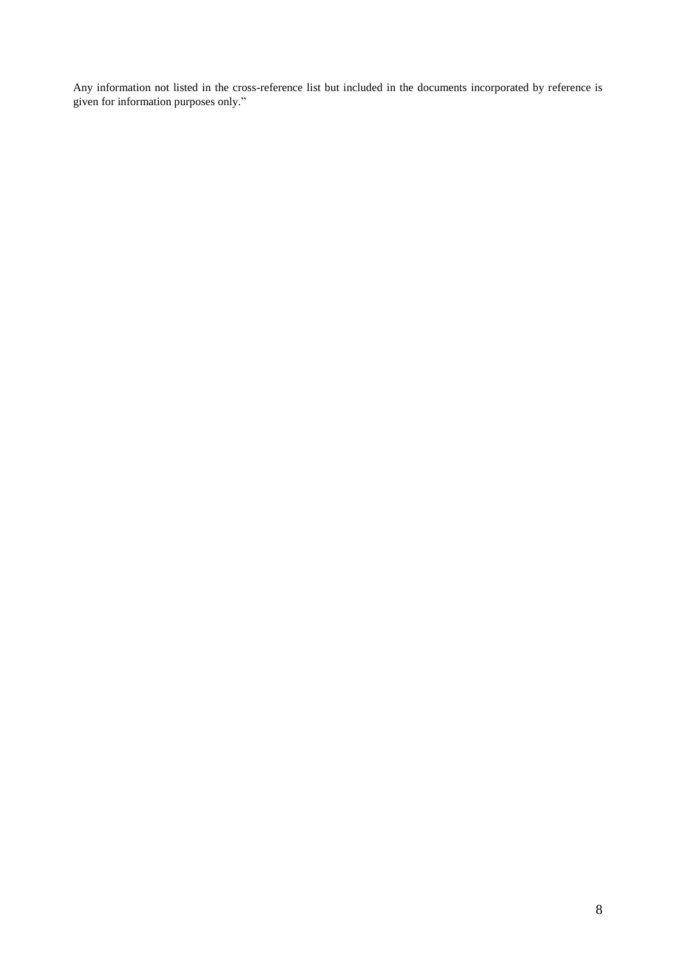Any information not listed in the cross-reference list but included in the documents incorporated by reference is given for information purposes only."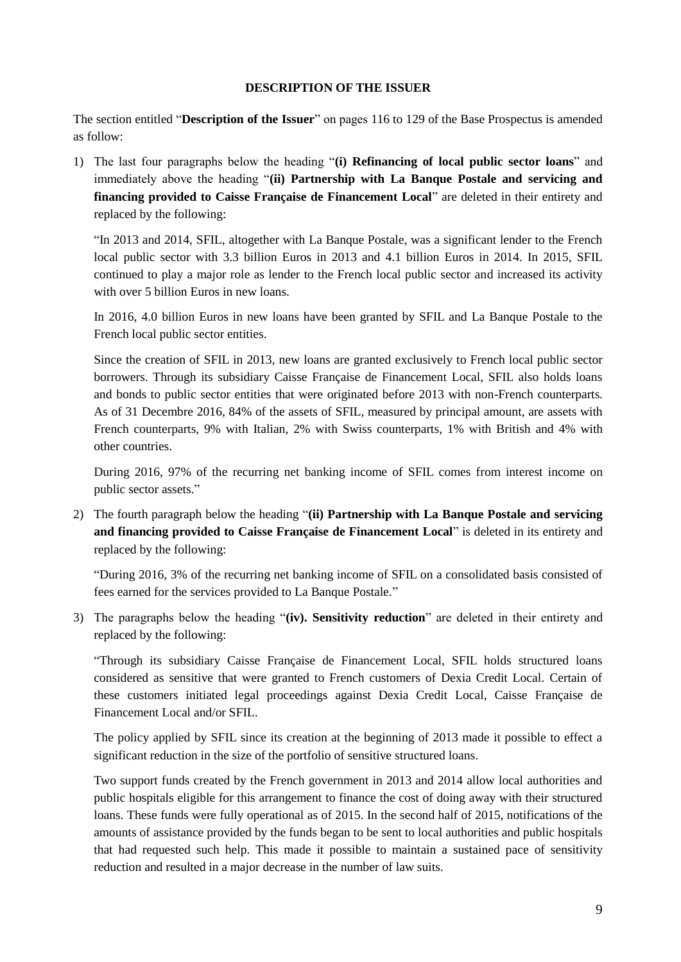#### **DESCRIPTION OF THE ISSUER**

<span id="page-8-0"></span>The section entitled "**Description of the Issuer**" on pages 116 to 129 of the Base Prospectus is amended as follow:

1) The last four paragraphs below the heading "**(i) Refinancing of local public sector loans**" and immediately above the heading "**(ii) Partnership with La Banque Postale and servicing and financing provided to Caisse Française de Financement Local**" are deleted in their entirety and replaced by the following:

"In 2013 and 2014, SFIL, altogether with La Banque Postale, was a significant lender to the French local public sector with 3.3 billion Euros in 2013 and 4.1 billion Euros in 2014. In 2015, SFIL continued to play a major role as lender to the French local public sector and increased its activity with over 5 billion Euros in new loans.

In 2016, 4.0 billion Euros in new loans have been granted by SFIL and La Banque Postale to the French local public sector entities.

Since the creation of SFIL in 2013, new loans are granted exclusively to French local public sector borrowers. Through its subsidiary Caisse Française de Financement Local, SFIL also holds loans and bonds to public sector entities that were originated before 2013 with non-French counterparts. As of 31 Decembre 2016, 84% of the assets of SFIL, measured by principal amount, are assets with French counterparts, 9% with Italian, 2% with Swiss counterparts, 1% with British and 4% with other countries.

During 2016, 97% of the recurring net banking income of SFIL comes from interest income on public sector assets."

2) The fourth paragraph below the heading "**(ii) Partnership with La Banque Postale and servicing and financing provided to Caisse Française de Financement Local**" is deleted in its entirety and replaced by the following:

"During 2016, 3% of the recurring net banking income of SFIL on a consolidated basis consisted of fees earned for the services provided to La Banque Postale."

3) The paragraphs below the heading "**(iv). Sensitivity reduction**" are deleted in their entirety and replaced by the following:

"Through its subsidiary Caisse Française de Financement Local, SFIL holds structured loans considered as sensitive that were granted to French customers of Dexia Credit Local. Certain of these customers initiated legal proceedings against Dexia Credit Local, Caisse Française de Financement Local and/or SFIL.

The policy applied by SFIL since its creation at the beginning of 2013 made it possible to effect a significant reduction in the size of the portfolio of sensitive structured loans.

Two support funds created by the French government in 2013 and 2014 allow local authorities and public hospitals eligible for this arrangement to finance the cost of doing away with their structured loans. These funds were fully operational as of 2015. In the second half of 2015, notifications of the amounts of assistance provided by the funds began to be sent to local authorities and public hospitals that had requested such help. This made it possible to maintain a sustained pace of sensitivity reduction and resulted in a major decrease in the number of law suits.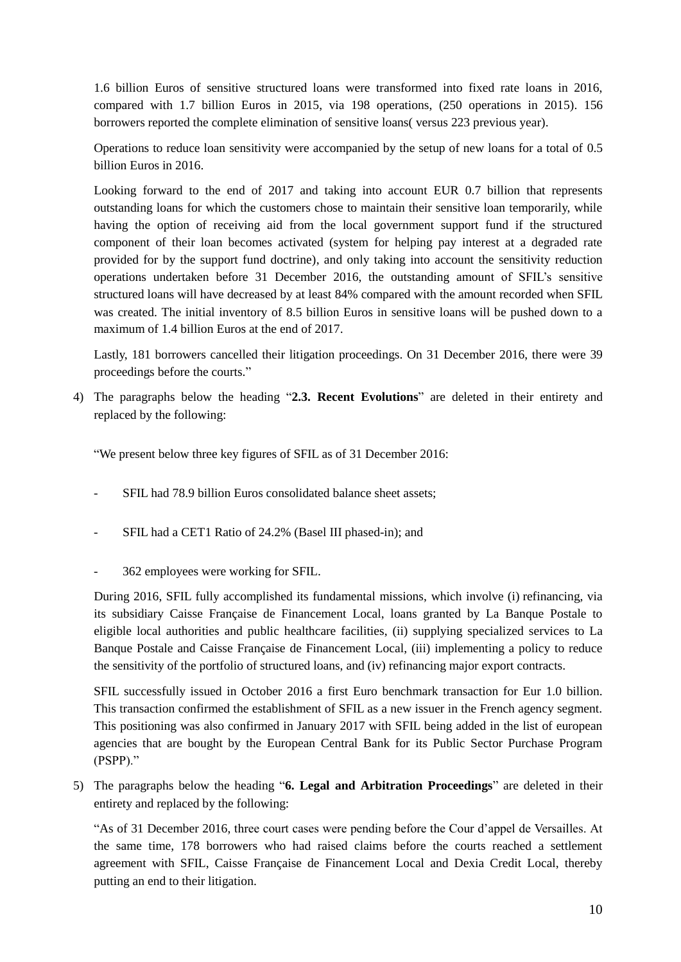1.6 billion Euros of sensitive structured loans were transformed into fixed rate loans in 2016, compared with 1.7 billion Euros in 2015, via 198 operations, (250 operations in 2015). 156 borrowers reported the complete elimination of sensitive loans( versus 223 previous year).

Operations to reduce loan sensitivity were accompanied by the setup of new loans for a total of 0.5 billion Euros in 2016.

Looking forward to the end of 2017 and taking into account EUR 0.7 billion that represents outstanding loans for which the customers chose to maintain their sensitive loan temporarily, while having the option of receiving aid from the local government support fund if the structured component of their loan becomes activated (system for helping pay interest at a degraded rate provided for by the support fund doctrine), and only taking into account the sensitivity reduction operations undertaken before 31 December 2016, the outstanding amount of SFIL's sensitive structured loans will have decreased by at least 84% compared with the amount recorded when SFIL was created. The initial inventory of 8.5 billion Euros in sensitive loans will be pushed down to a maximum of 1.4 billion Euros at the end of 2017.

Lastly, 181 borrowers cancelled their litigation proceedings. On 31 December 2016, there were 39 proceedings before the courts."

4) The paragraphs below the heading "**2.3. Recent Evolutions**" are deleted in their entirety and replaced by the following:

"We present below three key figures of SFIL as of 31 December 2016:

- SFIL had 78.9 billion Euros consolidated balance sheet assets:
- SFIL had a CET1 Ratio of 24.2% (Basel III phased-in); and
- 362 employees were working for SFIL.

During 2016, SFIL fully accomplished its fundamental missions, which involve (i) refinancing, via its subsidiary Caisse Française de Financement Local, loans granted by La Banque Postale to eligible local authorities and public healthcare facilities, (ii) supplying specialized services to La Banque Postale and Caisse Française de Financement Local, (iii) implementing a policy to reduce the sensitivity of the portfolio of structured loans, and (iv) refinancing major export contracts.

SFIL successfully issued in October 2016 a first Euro benchmark transaction for Eur 1.0 billion. This transaction confirmed the establishment of SFIL as a new issuer in the French agency segment. This positioning was also confirmed in January 2017 with SFIL being added in the list of european agencies that are bought by the European Central Bank for its Public Sector Purchase Program (PSPP)."

5) The paragraphs below the heading "**6. Legal and Arbitration Proceedings**" are deleted in their entirety and replaced by the following:

"As of 31 December 2016, three court cases were pending before the Cour d'appel de Versailles. At the same time, 178 borrowers who had raised claims before the courts reached a settlement agreement with SFIL, Caisse Française de Financement Local and Dexia Credit Local, thereby putting an end to their litigation.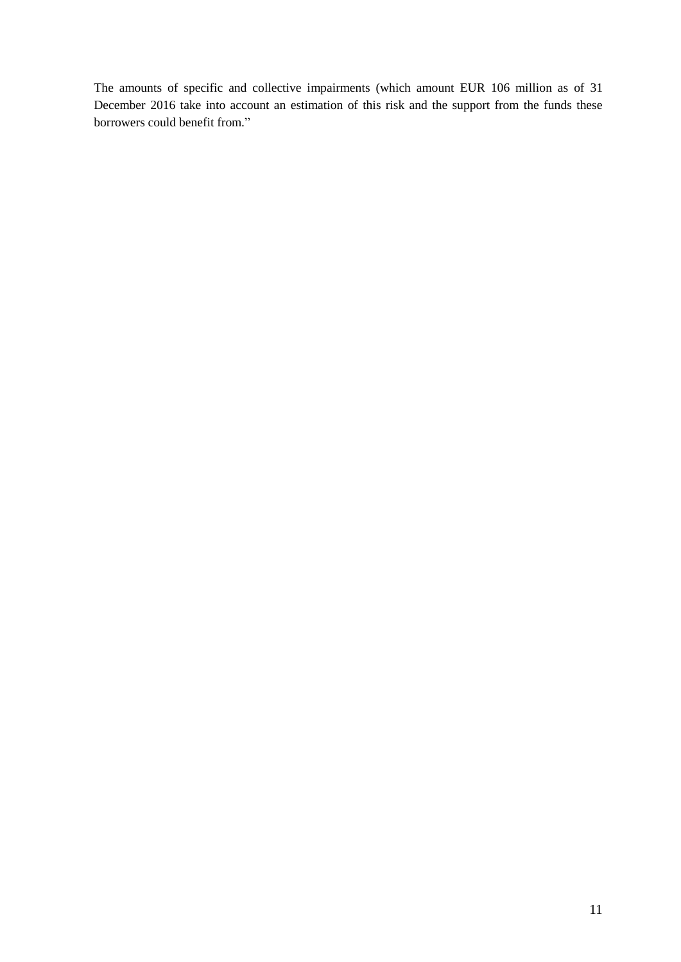The amounts of specific and collective impairments (which amount EUR 106 million as of 31 December 2016 take into account an estimation of this risk and the support from the funds these borrowers could benefit from."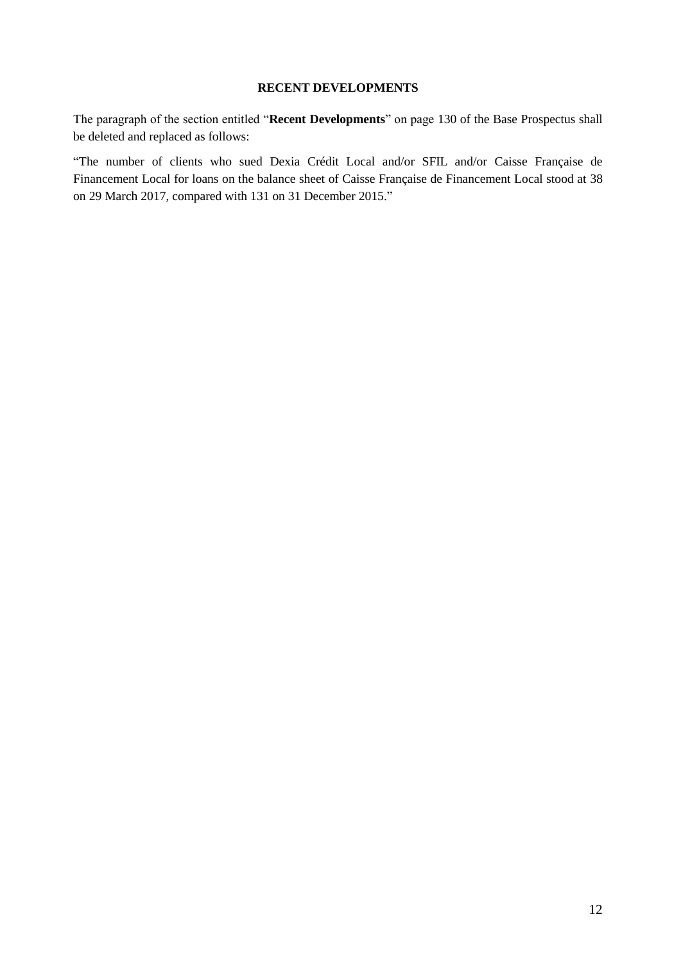## **RECENT DEVELOPMENTS**

<span id="page-11-0"></span>The paragraph of the section entitled "**Recent Developments**" on page 130 of the Base Prospectus shall be deleted and replaced as follows:

"The number of clients who sued Dexia Crédit Local and/or SFIL and/or Caisse Française de Financement Local for loans on the balance sheet of Caisse Française de Financement Local stood at 38 on 29 March 2017, compared with 131 on 31 December 2015."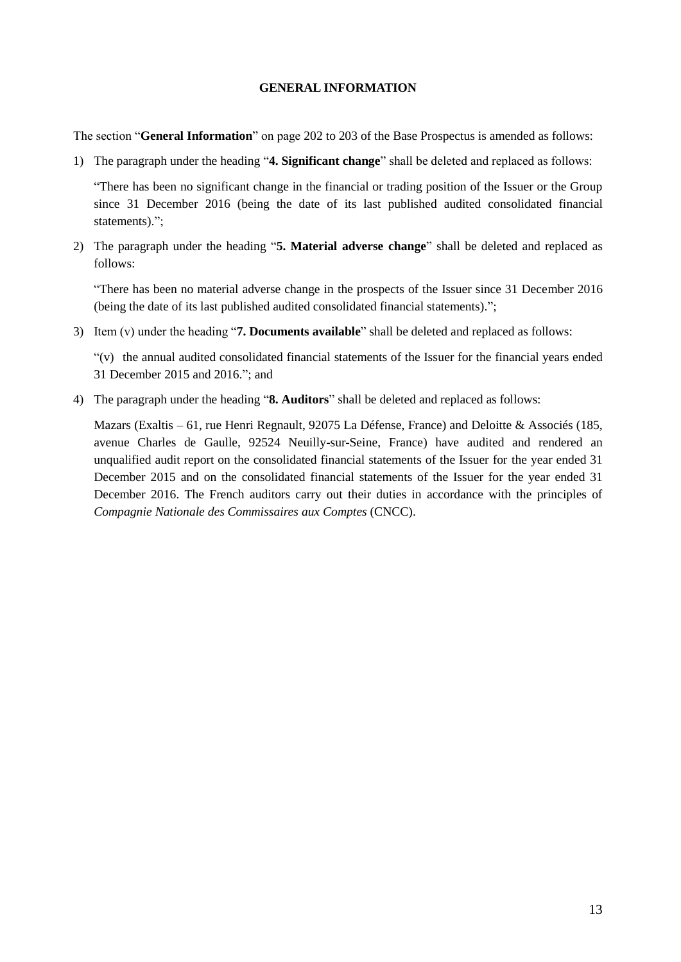#### **GENERAL INFORMATION**

<span id="page-12-0"></span>The section "**General Information**" on page 202 to 203 of the Base Prospectus is amended as follows:

1) The paragraph under the heading "**4. Significant change**" shall be deleted and replaced as follows:

"There has been no significant change in the financial or trading position of the Issuer or the Group since 31 December 2016 (being the date of its last published audited consolidated financial statements).":

2) The paragraph under the heading "**5. Material adverse change**" shall be deleted and replaced as follows:

"There has been no material adverse change in the prospects of the Issuer since 31 December 2016 (being the date of its last published audited consolidated financial statements).";

3) Item (v) under the heading "**7. Documents available**" shall be deleted and replaced as follows:

"(v) the annual audited consolidated financial statements of the Issuer for the financial years ended 31 December 2015 and 2016."; and

4) The paragraph under the heading "**8. Auditors**" shall be deleted and replaced as follows:

Mazars (Exaltis – 61, rue Henri Regnault, 92075 La Défense, France) and Deloitte & Associés (185, avenue Charles de Gaulle, 92524 Neuilly-sur-Seine, France) have audited and rendered an unqualified audit report on the consolidated financial statements of the Issuer for the year ended 31 December 2015 and on the consolidated financial statements of the Issuer for the year ended 31 December 2016. The French auditors carry out their duties in accordance with the principles of *Compagnie Nationale des Commissaires aux Comptes* (CNCC).